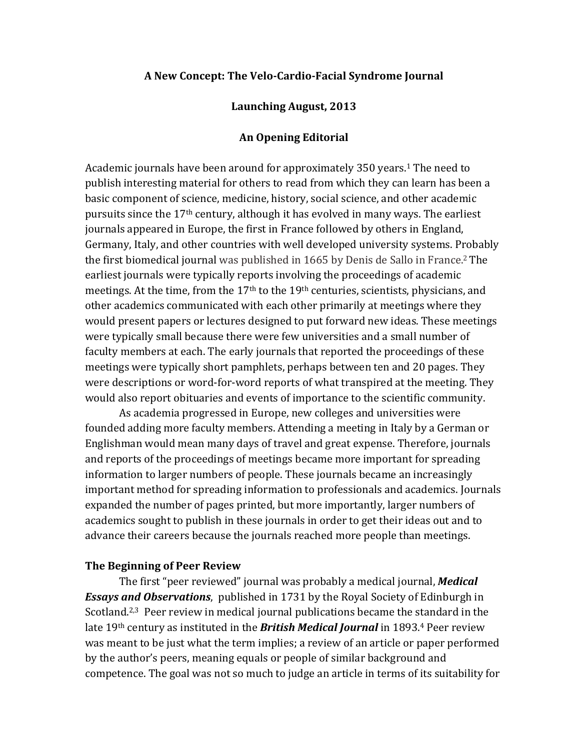# A New Concept: The Velo-Cardio-Facial Syndrome Journal

# Launching August, 2013

## **An"Opening"Editorial**

Academic journals have been around for approximately 350 years.<sup>1</sup> The need to publish interesting material for others to read from which they can learn has been a basic component of science, medicine, history, social science, and other academic pursuits since the 17<sup>th</sup> century, although it has evolved in many ways. The earliest journals appeared in Europe, the first in France followed by others in England, Germany, Italy, and other countries with well developed university systems. Probably the first biomedical journal was published in 1665 by Denis de Sallo in France.<sup>2</sup> The earliest journals were typically reports involving the proceedings of academic meetings. At the time, from the  $17<sup>th</sup>$  to the  $19<sup>th</sup>$  centuries, scientists, physicians, and other academics communicated with each other primarily at meetings where they would present papers or lectures designed to put forward new ideas. These meetings were typically small because there were few universities and a small number of faculty members at each. The early journals that reported the proceedings of these meetings were typically short pamphlets, perhaps between ten and 20 pages. They were descriptions or word-for-word reports of what transpired at the meeting. They would also report obituaries and events of importance to the scientific community.

As academia progressed in Europe, new colleges and universities were founded adding more faculty members. Attending a meeting in Italy by a German or Englishman would mean many days of travel and great expense. Therefore, journals and reports of the proceedings of meetings became more important for spreading information to larger numbers of people. These journals became an increasingly important method for spreading information to professionals and academics. Journals expanded the number of pages printed, but more importantly, larger numbers of academics sought to publish in these journals in order to get their ideas out and to advance their careers because the journals reached more people than meetings.

## **The Beginning of Peer Review**

The first "peer reviewed" journal was probably a medical journal, *Medical* **Essays and Observations**, published in 1731 by the Royal Society of Edinburgh in Scotland.<sup>2,3</sup> Peer review in medical journal publications became the standard in the late 19<sup>th</sup> century as instituted in the *British Medical Journal* in 1893.<sup>4</sup> Peer review was meant to be just what the term implies; a review of an article or paper performed by the author's peers, meaning equals or people of similar background and competence. The goal was not so much to judge an article in terms of its suitability for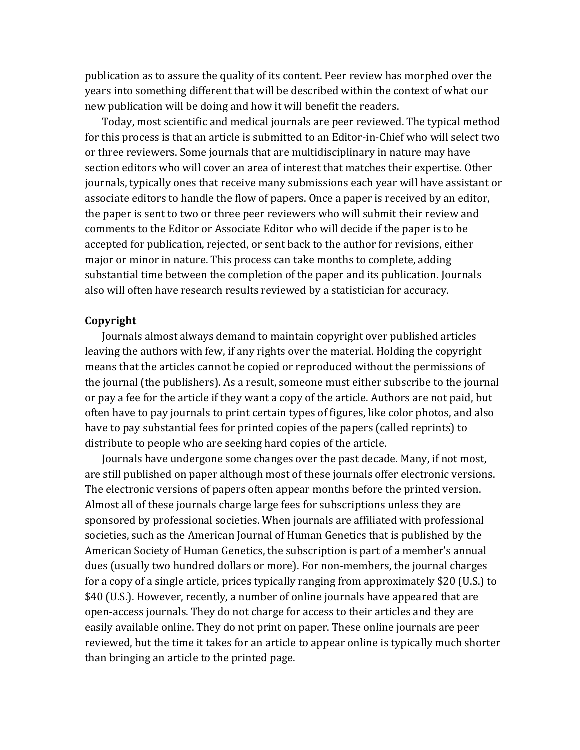publication as to assure the quality of its content. Peer review has morphed over the years into something different that will be described within the context of what our new publication will be doing and how it will benefit the readers.

Today, most scientific and medical journals are peer reviewed. The typical method for this process is that an article is submitted to an Editor-in-Chief who will select two or three reviewers. Some journals that are multidisciplinary in nature may have section editors who will cover an area of interest that matches their expertise. Other journals, typically ones that receive many submissions each year will have assistant or associate editors to handle the flow of papers. Once a paper is received by an editor, the paper is sent to two or three peer reviewers who will submit their review and comments to the Editor or Associate Editor who will decide if the paper is to be accepted for publication, rejected, or sent back to the author for revisions, either major or minor in nature. This process can take months to complete, adding substantial time between the completion of the paper and its publication. Journals also will often have research results reviewed by a statistician for accuracy.

### **Copyright**

Journals almost always demand to maintain copyright over published articles leaving the authors with few, if any rights over the material. Holding the copyright means that the articles cannot be copied or reproduced without the permissions of the journal (the publishers). As a result, someone must either subscribe to the journal or pay a fee for the article if they want a copy of the article. Authors are not paid, but often have to pay journals to print certain types of figures, like color photos, and also have to pay substantial fees for printed copies of the papers (called reprints) to distribute to people who are seeking hard copies of the article.

Journals have undergone some changes over the past decade. Many, if not most, are still published on paper although most of these journals offer electronic versions. The electronic versions of papers often appear months before the printed version. Almost all of these journals charge large fees for subscriptions unless they are sponsored by professional societies. When journals are affiliated with professional societies, such as the American Journal of Human Genetics that is published by the American Society of Human Genetics, the subscription is part of a member's annual dues (usually two hundred dollars or more). For non-members, the journal charges for a copy of a single article, prices typically ranging from approximately \$20 (U.S.) to \$40 (U.S.). However, recently, a number of online journals have appeared that are open-access journals. They do not charge for access to their articles and they are easily available online. They do not print on paper. These online journals are peer reviewed, but the time it takes for an article to appear online is typically much shorter than bringing an article to the printed page.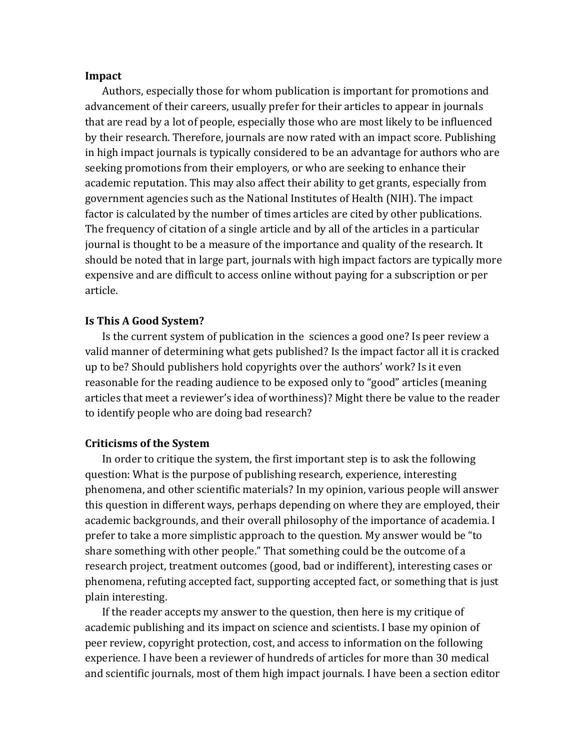### **Impact**

Authors, especially those for whom publication is important for promotions and advancement of their careers, usually prefer for their articles to appear in journals that are read by a lot of people, especially those who are most likely to be influenced by their research. Therefore, journals are now rated with an impact score. Publishing in high impact journals is typically considered to be an advantage for authors who are seeking promotions from their employers, or who are seeking to enhance their academic reputation. This may also affect their ability to get grants, especially from government agencies such as the National Institutes of Health (NIH). The impact factor is calculated by the number of times articles are cited by other publications. The frequency of citation of a single article and by all of the articles in a particular journal is thought to be a measure of the importance and quality of the research. It should be noted that in large part, journals with high impact factors are typically more expensive and are difficult to access online without paying for a subscription or per article.

#### **Is This A Good System?**

Is the current system of publication in the sciences a good one? Is peer review a valid manner of determining what gets published? Is the impact factor all it is cracked up to be? Should publishers hold copyrights over the authors' work? Is it even reasonable for the reading audience to be exposed only to "good" articles (meaning articles that meet a reviewer's idea of worthiness)? Might there be value to the reader to identify people who are doing bad research?

# **Criticisms of the System**

In order to critique the system, the first important step is to ask the following question: What is the purpose of publishing research, experience, interesting phenomena, and other scientific materials? In my opinion, various people will answer this question in different ways, perhaps depending on where they are employed, their academic backgrounds, and their overall philosophy of the importance of academia. I prefer to take a more simplistic approach to the question. My answer would be "to share something with other people." That something could be the outcome of a research project, treatment outcomes (good, bad or indifferent), interesting cases or phenomena, refuting accepted fact, supporting accepted fact, or something that is just plain interesting.

If the reader accepts my answer to the question, then here is my critique of academic publishing and its impact on science and scientists. I base my opinion of peer review, copyright protection, cost, and access to information on the following experience. I have been a reviewer of hundreds of articles for more than 30 medical and scientific journals, most of them high impact journals. I have been a section editor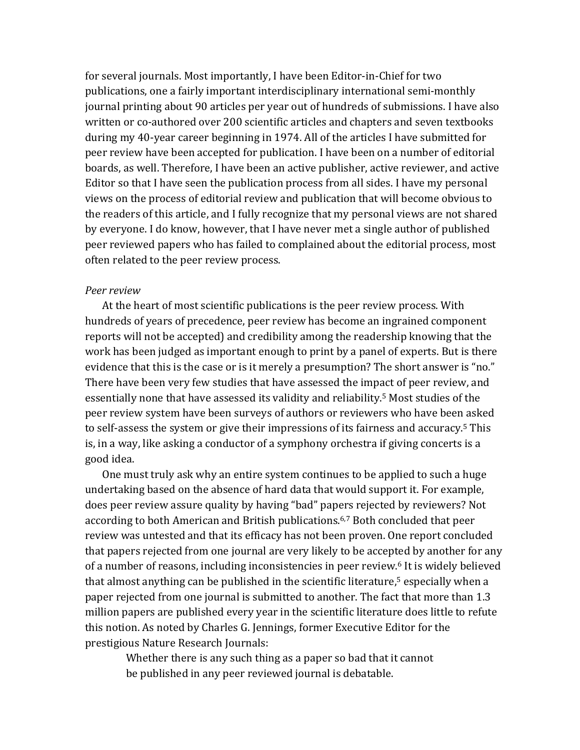for several journals. Most importantly, I have been Editor-in-Chief for two publications, one a fairly important interdisciplinary international semi-monthly journal printing about 90 articles per year out of hundreds of submissions. I have also written or co-authored over 200 scientific articles and chapters and seven textbooks during my 40-year career beginning in 1974. All of the articles I have submitted for peer review have been accepted for publication. I have been on a number of editorial boards, as well. Therefore, I have been an active publisher, active reviewer, and active Editor so that I have seen the publication process from all sides. I have my personal views on the process of editorial review and publication that will become obvious to the readers of this article, and I fully recognize that my personal views are not shared by everyone. I do know, however, that I have never met a single author of published peer reviewed papers who has failed to complained about the editorial process, most often related to the peer review process.

#### *Peer\$review*

At the heart of most scientific publications is the peer review process. With hundreds of years of precedence, peer review has become an ingrained component reports will not be accepted) and credibility among the readership knowing that the work has been judged as important enough to print by a panel of experts. But is there evidence that this is the case or is it merely a presumption? The short answer is "no." There have been very few studies that have assessed the impact of peer review, and essentially none that have assessed its validity and reliability.<sup>5</sup> Most studies of the peer review system have been surveys of authors or reviewers who have been asked to self-assess the system or give their impressions of its fairness and accuracy.<sup>5</sup> This is, in a way, like asking a conductor of a symphony orchestra if giving concerts is a good idea.

One must truly ask why an entire system continues to be applied to such a huge undertaking based on the absence of hard data that would support it. For example, does peer review assure quality by having "bad" papers rejected by reviewers? Not according to both American and British publications.<sup>6,7</sup> Both concluded that peer review was untested and that its efficacy has not been proven. One report concluded that papers rejected from one journal are very likely to be accepted by another for any of a number of reasons, including inconsistencies in peer review.<sup>6</sup> It is widely believed that almost anything can be published in the scientific literature, $5$  especially when a paper rejected from one journal is submitted to another. The fact that more than 1.3 million papers are published every year in the scientific literature does little to refute this notion. As noted by Charles G. Jennings, former Executive Editor for the prestigious Nature Research Journals:

Whether there is any such thing as a paper so bad that it cannot be published in any peer reviewed journal is debatable.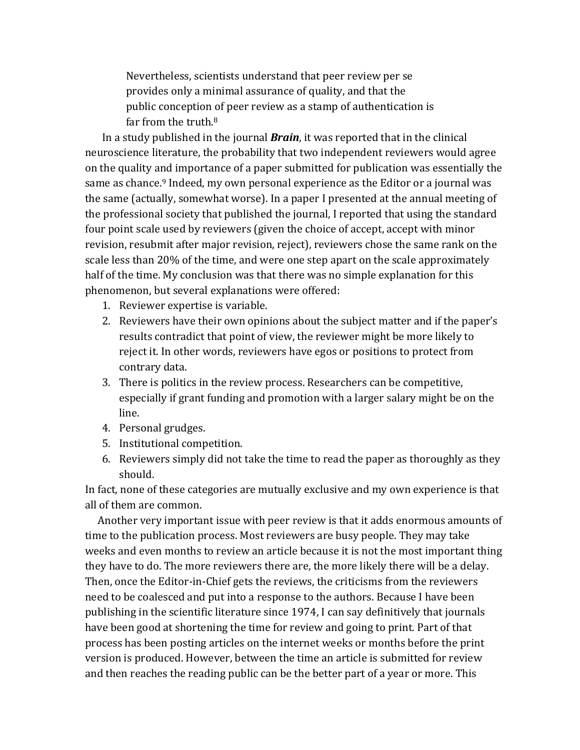Nevertheless, scientists understand that peer review per se provides only a minimal assurance of quality, and that the public conception of peer review as a stamp of authentication is far from the truth. $8$ 

In a study published in the journal *Brain*, it was reported that in the clinical neuroscience literature, the probability that two independent reviewers would agree on the quality and importance of a paper submitted for publication was essentially the same as chance.<sup>9</sup> Indeed, my own personal experience as the Editor or a journal was the same (actually, somewhat worse). In a paper I presented at the annual meeting of the professional society that published the journal, I reported that using the standard four point scale used by reviewers (given the choice of accept, accept with minor revision, resubmit after major revision, reject), reviewers chose the same rank on the scale less than 20% of the time, and were one step apart on the scale approximately half of the time. My conclusion was that there was no simple explanation for this phenomenon, but several explanations were offered:

- 1. Reviewer expertise is variable.
- 2. Reviewers have their own opinions about the subject matter and if the paper's results contradict that point of view, the reviewer might be more likely to reject it. In other words, reviewers have egos or positions to protect from contrary data.
- 3. There is politics in the review process. Researchers can be competitive, especially if grant funding and promotion with a larger salary might be on the line.
- 4. Personal grudges.
- 5. Institutional competition.
- 6. Reviewers simply did not take the time to read the paper as thoroughly as they should.

In fact, none of these categories are mutually exclusive and my own experience is that all of them are common.

Another very important issue with peer review is that it adds enormous amounts of time to the publication process. Most reviewers are busy people. They may take weeks and even months to review an article because it is not the most important thing they have to do. The more reviewers there are, the more likely there will be a delay. Then, once the Editor-in-Chief gets the reviews, the criticisms from the reviewers need to be coalesced and put into a response to the authors. Because I have been publishing in the scientific literature since 1974, I can say definitively that journals have been good at shortening the time for review and going to print. Part of that process has been posting articles on the internet weeks or months before the print version is produced. However, between the time an article is submitted for review and then reaches the reading public can be the better part of a year or more. This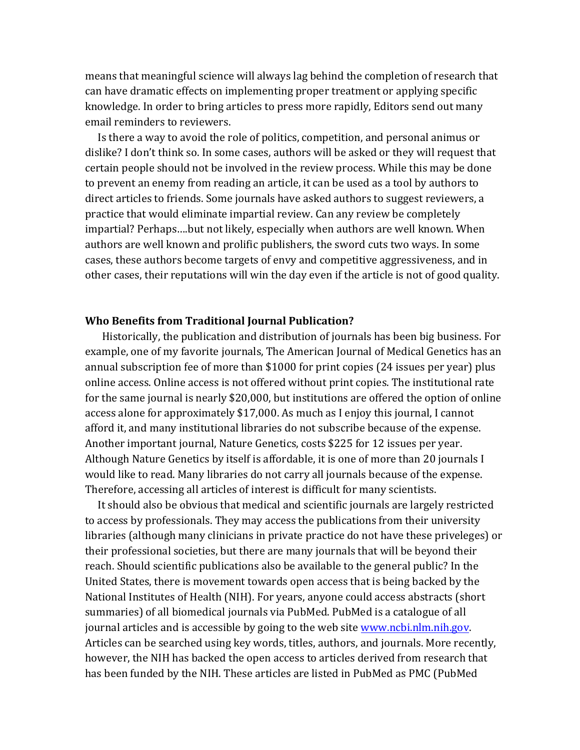means that meaningful science will always lag behind the completion of research that can have dramatic effects on implementing proper treatment or applying specific knowledge. In order to bring articles to press more rapidly, Editors send out many email reminders to reviewers.

Is there a way to avoid the role of politics, competition, and personal animus or dislike? I don't think so. In some cases, authors will be asked or they will request that certain people should not be involved in the review process. While this may be done to prevent an enemy from reading an article, it can be used as a tool by authors to direct articles to friends. Some journals have asked authors to suggest reviewers, a practice that would eliminate impartial review. Can any review be completely impartial? Perhaps....but not likely, especially when authors are well known. When authors are well known and prolific publishers, the sword cuts two ways. In some cases, these authors become targets of envy and competitive aggressiveness, and in other cases, their reputations will win the day even if the article is not of good quality.

#### **Who Benefits from Traditional Journal Publication?**

Historically, the publication and distribution of journals has been big business. For example, one of my favorite journals, The American Journal of Medical Genetics has an annual subscription fee of more than  $$1000$  for print copies (24 issues per year) plus online access. Online access is not offered without print copies. The institutional rate for the same journal is nearly \$20,000, but institutions are offered the option of online access alone for approximately \$17,000. As much as I enjoy this journal, I cannot afford it, and many institutional libraries do not subscribe because of the expense. Another important journal, Nature Genetics, costs \$225 for 12 issues per year. Although Nature Genetics by itself is affordable, it is one of more than 20 journals I would like to read. Many libraries do not carry all journals because of the expense. Therefore, accessing all articles of interest is difficult for many scientists.

It should also be obvious that medical and scientific journals are largely restricted to access by professionals. They may access the publications from their university libraries (although many clinicians in private practice do not have these priveleges) or their professional societies, but there are many journals that will be beyond their reach. Should scientific publications also be available to the general public? In the United States, there is movement towards open access that is being backed by the National Institutes of Health (NIH). For years, anyone could access abstracts (short summaries) of all biomedical journals via PubMed. PubMed is a catalogue of all journal articles and is accessible by going to the web site www.ncbi.nlm.nih.gov. Articles can be searched using key words, titles, authors, and journals. More recently, however, the NIH has backed the open access to articles derived from research that has been funded by the NIH. These articles are listed in PubMed as PMC (PubMed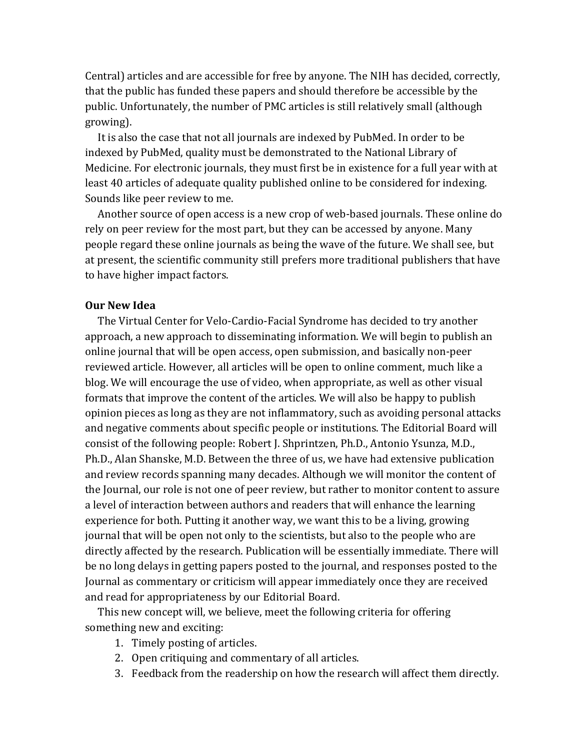Central) articles and are accessible for free by anyone. The NIH has decided, correctly, that the public has funded these papers and should therefore be accessible by the public. Unfortunately, the number of PMC articles is still relatively small (although growing).

It is also the case that not all journals are indexed by PubMed. In order to be indexed by PubMed, quality must be demonstrated to the National Library of Medicine. For electronic journals, they must first be in existence for a full year with at least 40 articles of adequate quality published online to be considered for indexing. Sounds like peer review to me.

Another source of open access is a new crop of web-based journals. These online do rely on peer review for the most part, but they can be accessed by anyone. Many people regard these online journals as being the wave of the future. We shall see, but at present, the scientific community still prefers more traditional publishers that have to have higher impact factors.

# **Our New Idea**

The Virtual Center for Velo-Cardio-Facial Syndrome has decided to try another approach, a new approach to disseminating information. We will begin to publish an online journal that will be open access, open submission, and basically non-peer reviewed article. However, all articles will be open to online comment, much like a blog. We will encourage the use of video, when appropriate, as well as other visual formats that improve the content of the articles. We will also be happy to publish opinion pieces as long as they are not inflammatory, such as avoiding personal attacks and negative comments about specific people or institutions. The Editorial Board will consist of the following people: Robert J. Shprintzen, Ph.D., Antonio Ysunza, M.D., Ph.D., Alan Shanske, M.D. Between the three of us, we have had extensive publication and review records spanning many decades. Although we will monitor the content of the Journal, our role is not one of peer review, but rather to monitor content to assure a level of interaction between authors and readers that will enhance the learning experience for both. Putting it another way, we want this to be a living, growing journal that will be open not only to the scientists, but also to the people who are directly affected by the research. Publication will be essentially immediate. There will be no long delays in getting papers posted to the journal, and responses posted to the Journal as commentary or criticism will appear immediately once they are received and read for appropriateness by our Editorial Board.

This new concept will, we believe, meet the following criteria for offering something new and exciting:

- 1. Timely posting of articles.
- 2. Open critiquing and commentary of all articles.
- 3. Feedback from the readership on how the research will affect them directly.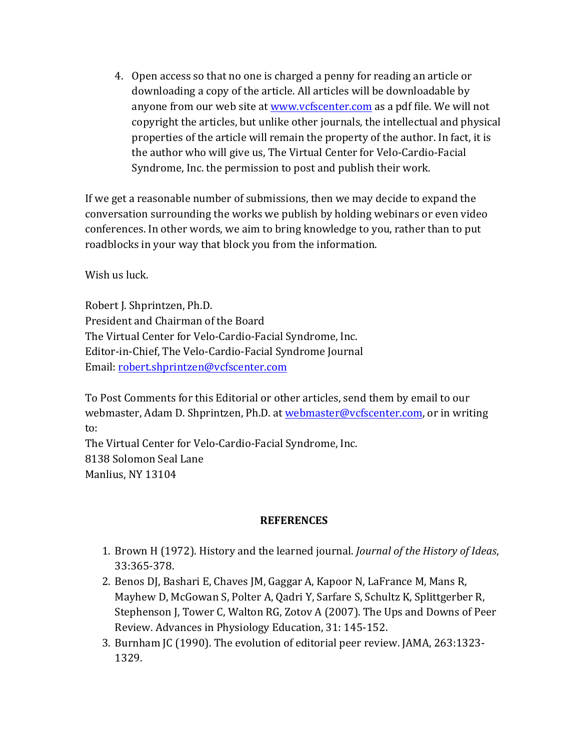4. Open access so that no one is charged a penny for reading an article or downloading a copy of the article. All articles will be downloadable by anyone from our web site at www.vcfscenter.com as a pdf file. We will not copyright the articles, but unlike other journals, the intellectual and physical properties of the article will remain the property of the author. In fact, it is the author who will give us, The Virtual Center for Velo-Cardio-Facial Syndrome, Inc. the permission to post and publish their work.

If we get a reasonable number of submissions, then we may decide to expand the conversation surrounding the works we publish by holding webinars or even video conferences. In other words, we aim to bring knowledge to you, rather than to put roadblocks in your way that block you from the information.

Wish us luck.

Robert J. Shprintzen, Ph.D. President and Chairman of the Board The Virtual Center for Velo-Cardio-Facial Syndrome, Inc. Editor-in-Chief, The Velo-Cardio-Facial Syndrome Journal Email: robert.shprintzen@vcfscenter.com

To Post Comments for this Editorial or other articles, send them by email to our webmaster, Adam D. Shprintzen, Ph.D. at webmaster@vcfscenter.com, or in writing to:

The Virtual Center for Velo-Cardio-Facial Syndrome, Inc. 8138 Solomon Seal Lane Manlius, NY 13104

# **REFERENCES**

- 1. Brown H (1972). History and the learned journal. *Journal of the History of Ideas*, 33:365-378.
- 2. Benos DJ, Bashari E, Chaves JM, Gaggar A, Kapoor N, LaFrance M, Mans R, Mayhew D, McGowan S, Polter A, Qadri Y, Sarfare S, Schultz K, Splittgerber R, Stephenson J, Tower C, Walton RG, Zotov A (2007). The Ups and Downs of Peer Review. Advances in Physiology Education, 31: 145-152.
- 3. Burnham JC (1990). The evolution of editorial peer review. JAMA, 263:1323-1329.